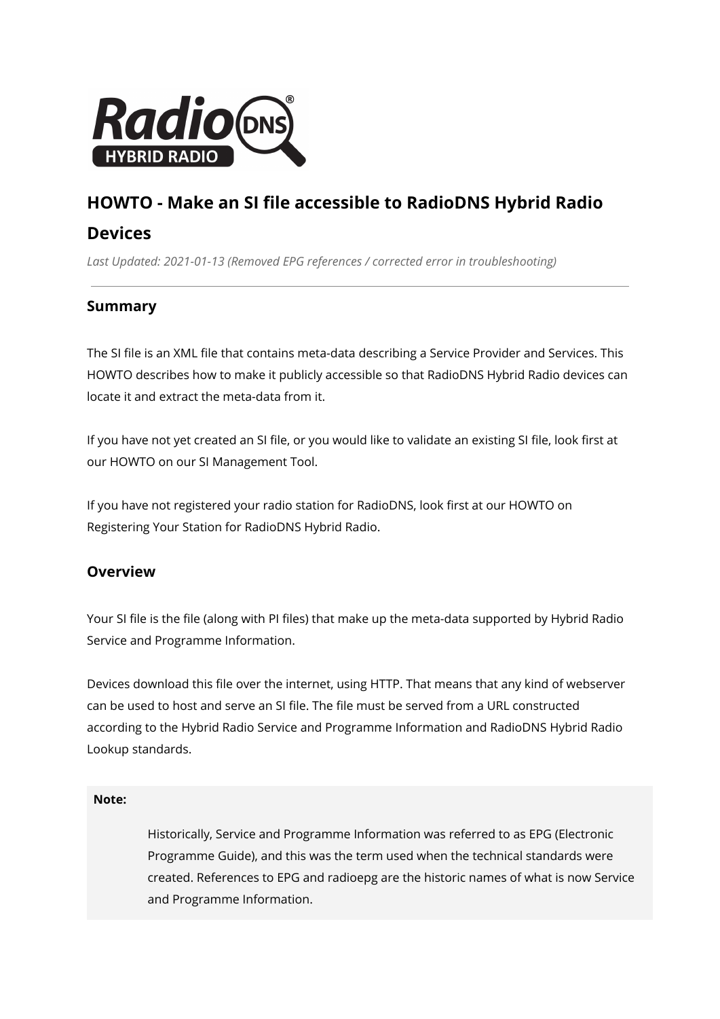

# **HOWTO - Make an SI file accessible to RadioDNS Hybrid Radio**

# **Devices**

*Last Updated: 2021-01-13 (Removed EPG references / corrected error in troubleshooting)*

## **Summary**

The SI file is an XML file that contains meta-data describing a Service Provider and Services. This HOWTO describes how to make it publicly accessible so that RadioDNS Hybrid Radio devices can locate it and extract the meta-data from it.

If you have not yet created an SI file, or you would like to validate an existing SI file, look first at our HOWTO on our SI Management Tool.

If you have not registered your radio station for RadioDNS, look first at our HOWTO on Registering Your Station for RadioDNS Hybrid Radio.

## **Overview**

Your SI file is the file (along with PI files) that make up the meta-data supported by Hybrid Radio Service and Programme Information.

Devices download this file over the internet, using HTTP. That means that any kind of webserver can be used to host and serve an SI file. The file must be served from a URL constructed according to the Hybrid Radio Service and Programme Information and RadioDNS Hybrid Radio Lookup standards.

### **Note:**

Historically, Service and Programme Information was referred to as EPG (Electronic Programme Guide), and this was the term used when the technical standards were created. References to EPG and radioepg are the historic names of what is now Service and Programme Information.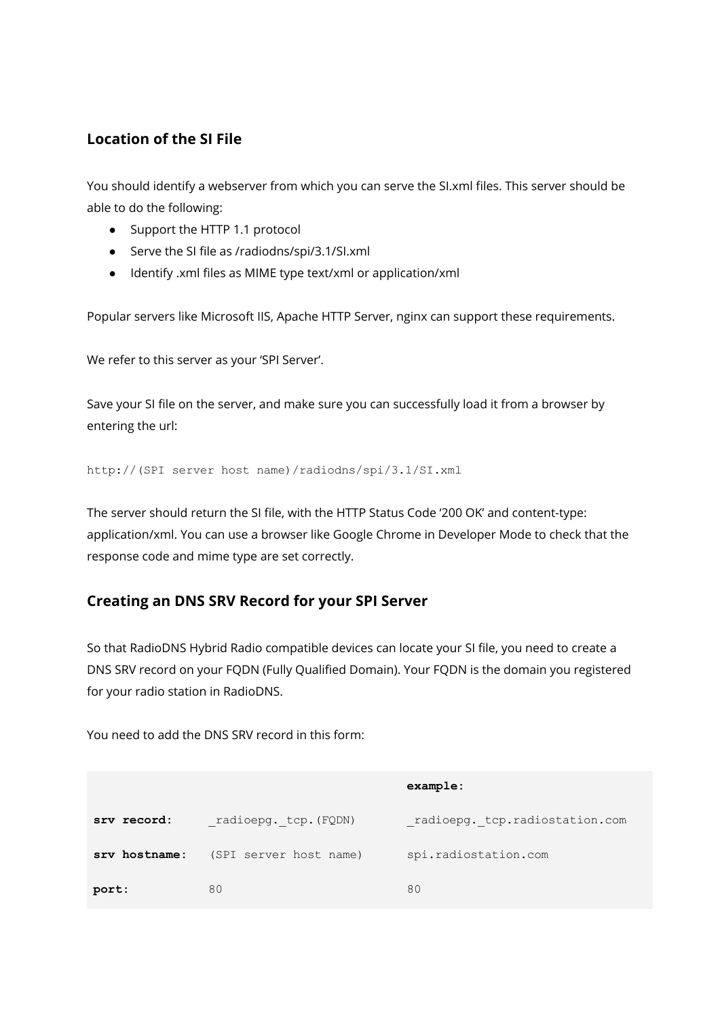# **Location of the SI File**

You should identify a webserver from which you can serve the SI.xml files. This server should be able to do the following:

- Support the HTTP 1.1 protocol
- Serve the SI file as /radiodns/spi/3.1/SI.xml
- Identify .xml files as MIME type text/xml or application/xml

Popular servers like Microsoft IIS, Apache HTTP Server, nginx can support these requirements.

We refer to this server as your 'SPI Server'.

Save your SI file on the server, and make sure you can successfully load it from a browser by entering the url:

http://(SPI server host name)/radiodns/spi/3.1/SI.xml

The server should return the SI file, with the HTTP Status Code '200 OK' and content-type: application/xml. You can use a browser like Google Chrome in Developer Mode to check that the response code and mime type are set correctly.

## **Creating an DNS SRV Record for your SPI Server**

So that RadioDNS Hybrid Radio compatible devices can locate your SI file, you need to create a DNS SRV record on your FQDN (Fully Qualified Domain). Your FQDN is the domain you registered for your radio station in RadioDNS.

You need to add the DNS SRV record in this form:

|               |                        | example:                       |
|---------------|------------------------|--------------------------------|
| sry record:   | radioepg. tcp. (FQDN)  | radioepg. tcp.radiostation.com |
| sry hostname: | (SPI server host name) | spi.radiostation.com           |
| port:         | 80                     | 80                             |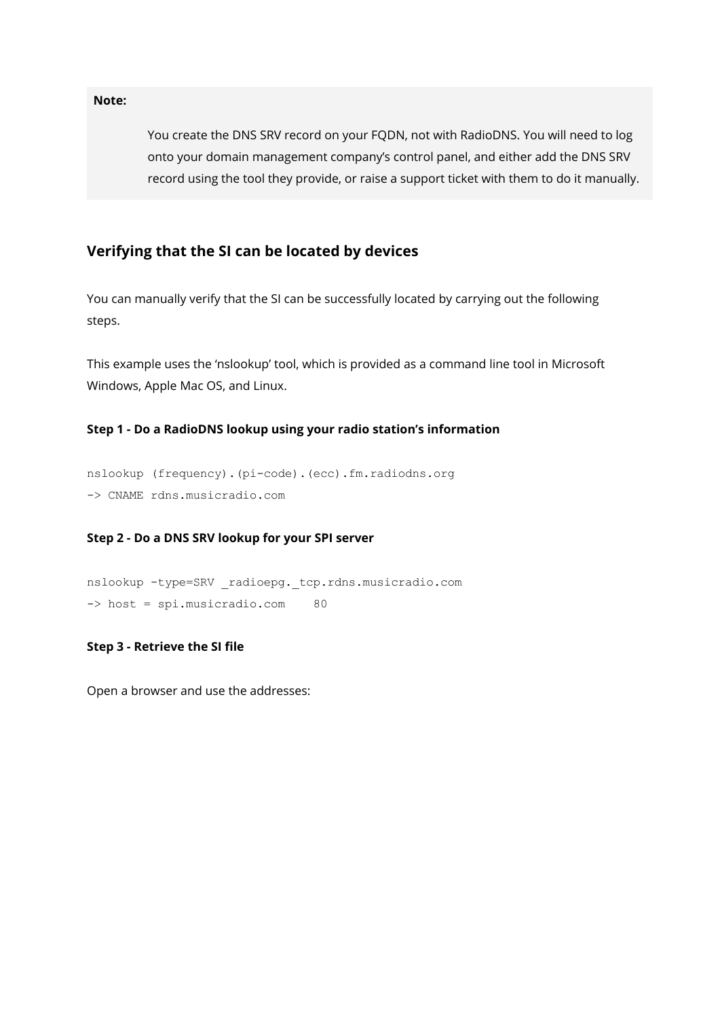**Note:**

You create the DNS SRV record on your FQDN, not with RadioDNS. You will need to log onto your domain management company's control panel, and either add the DNS SRV record using the tool they provide, or raise a support ticket with them to do it manually.

## **Verifying that the SI can be located by devices**

You can manually verify that the SI can be successfully located by carrying out the following steps.

This example uses the 'nslookup' tool, which is provided as a command line tool in Microsoft Windows, Apple Mac OS, and Linux.

### **Step 1 - Do a RadioDNS lookup using your radio station's information**

nslookup (frequency).(pi-code).(ecc).fm.radiodns.org -> CNAME rdns.musicradio.com

### **Step 2 - Do a DNS SRV lookup for your SPI server**

```
nslookup -type=SRV _radioepg._tcp.rdns.musicradio.com
-> host = spi.musicradio.com 80
```
### **Step 3 - Retrieve the SI file**

Open a browser and use the addresses: